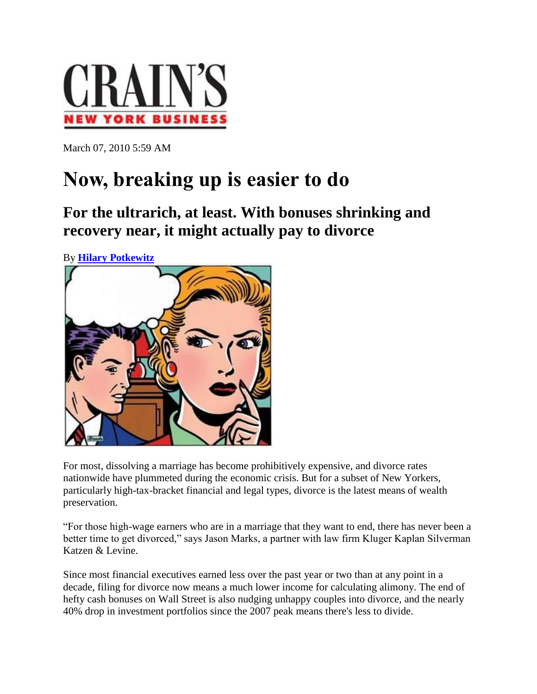

March 07, 2010 5:59 AM

## **Now, breaking up is easier to do**

**For the ultrarich, at least. With bonuses shrinking and recovery near, it might actually pay to divorce**

By **[Hilary Potkewitz](http://www.crainsnewyork.com/apps/pbcs.dll/personalia?ID=20)**



For most, dissolving a marriage has become prohibitively expensive, and divorce rates nationwide have plummeted during the economic crisis. But for a subset of New Yorkers, particularly high-tax-bracket financial and legal types, divorce is the latest means of wealth preservation.

"For those high-wage earners who are in a marriage that they want to end, there has never been a better time to get divorced," says Jason Marks, a partner with law firm Kluger Kaplan Silverman Katzen & Levine.

Since most financial executives earned less over the past year or two than at any point in a decade, filing for divorce now means a much lower income for calculating alimony. The end of hefty cash bonuses on Wall Street is also nudging unhappy couples into divorce, and the nearly 40% drop in investment portfolios since the 2007 peak means there's less to divide.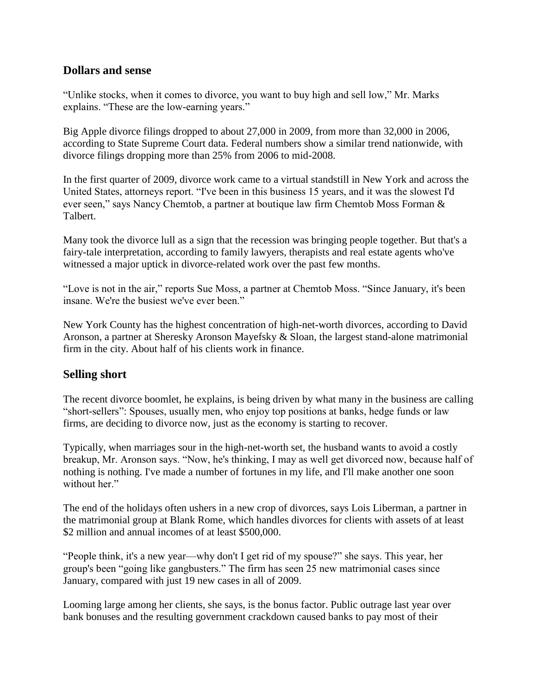## **Dollars and sense**

"Unlike stocks, when it comes to divorce, you want to buy high and sell low," Mr. Marks explains. "These are the low-earning years."

Big Apple divorce filings dropped to about 27,000 in 2009, from more than 32,000 in 2006, according to State Supreme Court data. Federal numbers show a similar trend nationwide, with divorce filings dropping more than 25% from 2006 to mid-2008.

In the first quarter of 2009, divorce work came to a virtual standstill in New York and across the United States, attorneys report. "I've been in this business 15 years, and it was the slowest I'd ever seen," says Nancy Chemtob, a partner at boutique law firm Chemtob Moss Forman & Talbert.

Many took the divorce lull as a sign that the recession was bringing people together. But that's a fairy-tale interpretation, according to family lawyers, therapists and real estate agents who've witnessed a major uptick in divorce-related work over the past few months.

"Love is not in the air," reports Sue Moss, a partner at Chemtob Moss. "Since January, it's been insane. We're the busiest we've ever been."

New York County has the highest concentration of high-net-worth divorces, according to David Aronson, a partner at Sheresky Aronson Mayefsky & Sloan, the largest stand-alone matrimonial firm in the city. About half of his clients work in finance.

## **Selling short**

The recent divorce boomlet, he explains, is being driven by what many in the business are calling "short-sellers": Spouses, usually men, who enjoy top positions at banks, hedge funds or law firms, are deciding to divorce now, just as the economy is starting to recover.

Typically, when marriages sour in the high-net-worth set, the husband wants to avoid a costly breakup, Mr. Aronson says. "Now, he's thinking, I may as well get divorced now, because half of nothing is nothing. I've made a number of fortunes in my life, and I'll make another one soon without her."

The end of the holidays often ushers in a new crop of divorces, says Lois Liberman, a partner in the matrimonial group at Blank Rome, which handles divorces for clients with assets of at least \$2 million and annual incomes of at least \$500,000.

"People think, it's a new year—why don't I get rid of my spouse?" she says. This year, her group's been "going like gangbusters." The firm has seen 25 new matrimonial cases since January, compared with just 19 new cases in all of 2009.

Looming large among her clients, she says, is the bonus factor. Public outrage last year over bank bonuses and the resulting government crackdown caused banks to pay most of their